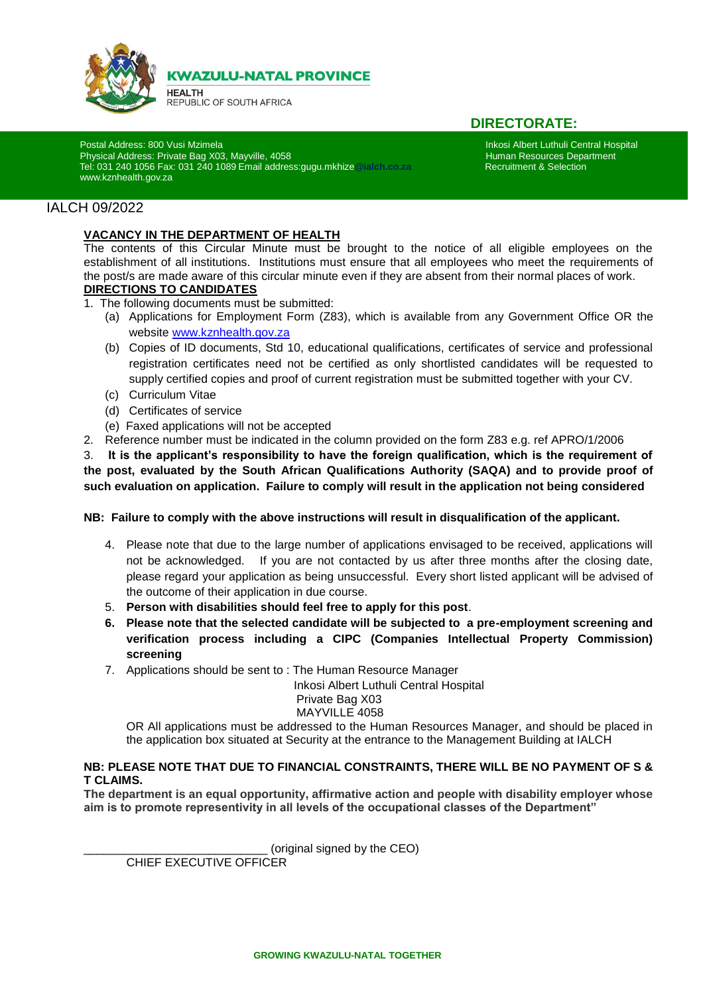

**KWAZULU-NATAL PROVINCE** 

**HEALTH** REPUBLIC OF SOUTH AFRICA

# **DIRECTORATE:**

Postal Address: 800 Vusi Mzimela Inkosi Albert Luthuli Central Hospital<br>Physical Address: Private Bag X03, Mayville, 4058 **International Incorporation Central Hospital** Human Resources Department Physical Address: Private Bag X03, Mayville, 4058<br>Tel: 031 240 1056 Fax: 031 240 1089 Email address: quou.mkhize @jalch.co.za **human Resources Department & Selection**  Tel: 031 240 1056 Fax: 031 240 1089 Email address:gugu.mkhize**@ialch.co.za** Recruitment & Selection [www.kznhealth.gov.za](http://www.kznhealth.gov.za/)

## IALCH 09/2022

i

#### **VACANCY IN THE DEPARTMENT OF HEALTH**

The contents of this Circular Minute must be brought to the notice of all eligible employees on the establishment of all institutions. Institutions must ensure that all employees who meet the requirements of the post/s are made aware of this circular minute even if they are absent from their normal places of work. **DIRECTIONS TO CANDIDATES**

- 1. The following documents must be submitted:
	- (a) Applications for Employment Form (Z83), which is available from any Government Office OR the website [www.kznhealth.gov.za](http://www.kznhealth.gov.za/)
	- (b) Copies of ID documents, Std 10, educational qualifications, certificates of service and professional registration certificates need not be certified as only shortlisted candidates will be requested to supply certified copies and proof of current registration must be submitted together with your CV.
	- (c) Curriculum Vitae
	- (d) Certificates of service
	- (e) Faxed applications will not be accepted
- 2. Reference number must be indicated in the column provided on the form Z83 e.g. ref APRO/1/2006

3. **It is the applicant's responsibility to have the foreign qualification, which is the requirement of the post, evaluated by the South African Qualifications Authority (SAQA) and to provide proof of such evaluation on application. Failure to comply will result in the application not being considered**

#### **NB: Failure to comply with the above instructions will result in disqualification of the applicant.**

- 4. Please note that due to the large number of applications envisaged to be received, applications will not be acknowledged. If you are not contacted by us after three months after the closing date, please regard your application as being unsuccessful. Every short listed applicant will be advised of the outcome of their application in due course.
- 5. **Person with disabilities should feel free to apply for this post**.
- **6. Please note that the selected candidate will be subjected to a pre-employment screening and verification process including a CIPC (Companies Intellectual Property Commission) screening**
- 7. Applications should be sent to : The Human Resource Manager

Inkosi Albert Luthuli Central Hospital

#### Private Bag X03 MAYVILLE 4058

OR All applications must be addressed to the Human Resources Manager, and should be placed in the application box situated at Security at the entrance to the Management Building at IALCH

#### **NB: PLEASE NOTE THAT DUE TO FINANCIAL CONSTRAINTS, THERE WILL BE NO PAYMENT OF S & T CLAIMS.**

**The department is an equal opportunity, affirmative action and people with disability employer whose aim is to promote representivity in all levels of the occupational classes of the Department"**

(original signed by the CEO)

CHIEF EXECUTIVE OFFICER